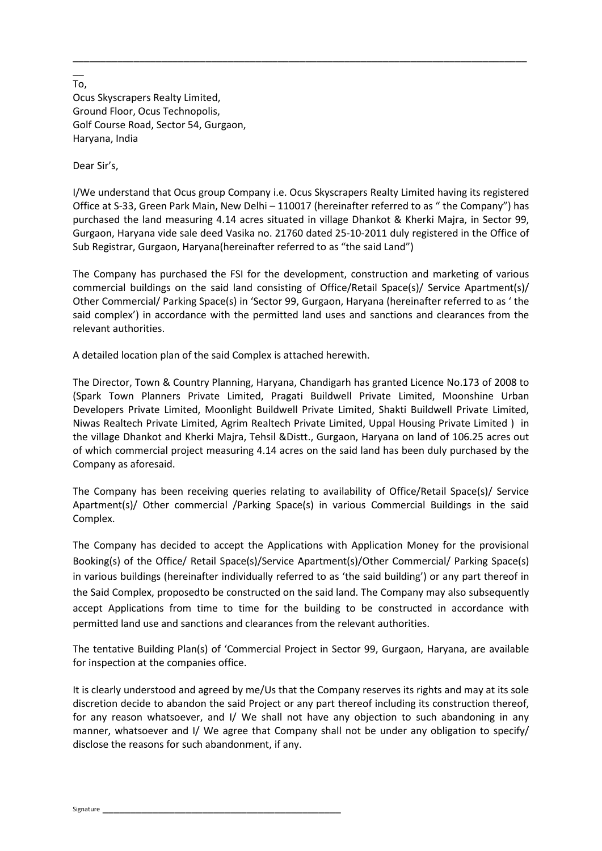To, Ocus Skyscrapers Realty Limited, Ground Floor, Ocus Technopolis, Golf Course Road, Sector 54, Gurgaon, Haryana, India

Dear Sir's,

I/We understand that Ocus group Company i.e. Ocus Skyscrapers Realty Limited having its registered Office at S-33, Green Park Main, New Delhi – 110017 (hereinafter referred to as " the Company") has purchased the land measuring 4.14 acres situated in village Dhankot & Kherki Majra, in Sector 99, Gurgaon, Haryana vide sale deed Vasika no. 21760 dated 25-10-2011 duly registered in the Office of Sub Registrar, Gurgaon, Haryana(hereinafter referred to as "the said Land")

\_\_\_\_\_\_\_\_\_\_\_\_\_\_\_\_\_\_\_\_\_\_\_\_\_\_\_\_\_\_\_\_\_\_\_\_\_\_\_\_\_\_\_\_\_\_\_\_\_\_\_\_\_\_\_\_\_\_\_\_\_\_\_\_\_\_\_\_\_\_\_\_\_\_\_\_\_\_\_\_\_\_

The Company has purchased the FSI for the development, construction and marketing of various commercial buildings on the said land consisting of Office/Retail Space(s)/ Service Apartment(s)/ Other Commercial/ Parking Space(s) in 'Sector 99, Gurgaon, Haryana (hereinafter referred to as ' the said complex') in accordance with the permitted land uses and sanctions and clearances from the relevant authorities.

A detailed location plan of the said Complex is attached herewith.

The Director, Town & Country Planning, Haryana, Chandigarh has granted Licence No.173 of 2008 to (Spark Town Planners Private Limited, Pragati Buildwell Private Limited, Moonshine Urban Developers Private Limited, Moonlight Buildwell Private Limited, Shakti Buildwell Private Limited, Niwas Realtech Private Limited, Agrim Realtech Private Limited, Uppal Housing Private Limited ) in the village Dhankot and Kherki Majra, Tehsil &Distt., Gurgaon, Haryana on land of 106.25 acres out of which commercial project measuring 4.14 acres on the said land has been duly purchased by the Company as aforesaid.

The Company has been receiving queries relating to availability of Office/Retail Space(s)/ Service Apartment(s)/ Other commercial /Parking Space(s) in various Commercial Buildings in the said Complex.

The Company has decided to accept the Applications with Application Money for the provisional Booking(s) of the Office/ Retail Space(s)/Service Apartment(s)/Other Commercial/ Parking Space(s) in various buildings (hereinafter individually referred to as 'the said building') or any part thereof in the Said Complex, proposedto be constructed on the said land. The Company may also subsequently accept Applications from time to time for the building to be constructed in accordance with permitted land use and sanctions and clearances from the relevant authorities.

The tentative Building Plan(s) of 'Commercial Project in Sector 99, Gurgaon, Haryana, are available for inspection at the companies office.

It is clearly understood and agreed by me/Us that the Company reserves its rights and may at its sole discretion decide to abandon the said Project or any part thereof including its construction thereof, for any reason whatsoever, and I/ We shall not have any objection to such abandoning in any manner, whatsoever and I/ We agree that Company shall not be under any obligation to specify/ disclose the reasons for such abandonment, if any.

 $\overline{\phantom{a}}$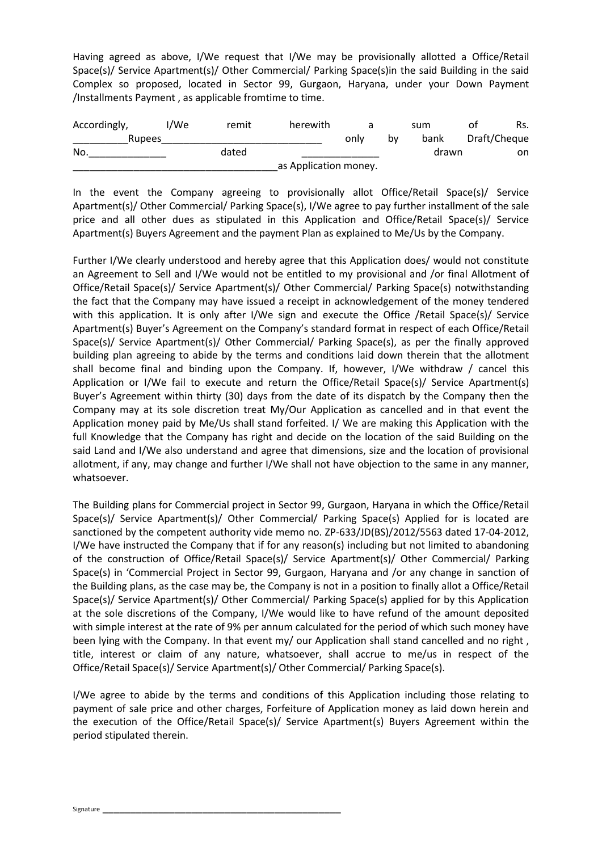Having agreed as above, I/We request that I/We may be provisionally allotted a Office/Retail Space(s)/ Service Apartment(s)/ Other Commercial/ Parking Space(s)in the said Building in the said Complex so proposed, located in Sector 99, Gurgaon, Haryana, under your Down Payment /Installments Payment , as applicable fromtime to time.

| Accordingly, | I/We | remit | herewith              |      |    | sum   | Rs.<br>ot    |
|--------------|------|-------|-----------------------|------|----|-------|--------------|
| Rupees       |      |       |                       | only | b٧ | bank  | Draft/Cheque |
| No.          |      | dated |                       |      |    | drawn | on           |
|              |      |       | as Application money. |      |    |       |              |

In the event the Company agreeing to provisionally allot Office/Retail Space(s)/ Service Apartment(s)/ Other Commercial/ Parking Space(s), I/We agree to pay further installment of the sale price and all other dues as stipulated in this Application and Office/Retail Space(s)/ Service Apartment(s) Buyers Agreement and the payment Plan as explained to Me/Us by the Company.

Further I/We clearly understood and hereby agree that this Application does/ would not constitute an Agreement to Sell and I/We would not be entitled to my provisional and /or final Allotment of Office/Retail Space(s)/ Service Apartment(s)/ Other Commercial/ Parking Space(s) notwithstanding the fact that the Company may have issued a receipt in acknowledgement of the money tendered with this application. It is only after I/We sign and execute the Office /Retail Space(s)/ Service Apartment(s) Buyer's Agreement on the Company's standard format in respect of each Office/Retail Space(s)/ Service Apartment(s)/ Other Commercial/ Parking Space(s), as per the finally approved building plan agreeing to abide by the terms and conditions laid down therein that the allotment shall become final and binding upon the Company. If, however, I/We withdraw / cancel this Application or I/We fail to execute and return the Office/Retail Space(s)/ Service Apartment(s) Buyer's Agreement within thirty (30) days from the date of its dispatch by the Company then the Company may at its sole discretion treat My/Our Application as cancelled and in that event the Application money paid by Me/Us shall stand forfeited. I/ We are making this Application with the full Knowledge that the Company has right and decide on the location of the said Building on the said Land and I/We also understand and agree that dimensions, size and the location of provisional allotment, if any, may change and further I/We shall not have objection to the same in any manner, whatsoever.

The Building plans for Commercial project in Sector 99, Gurgaon, Haryana in which the Office/Retail Space(s)/ Service Apartment(s)/ Other Commercial/ Parking Space(s) Applied for is located are sanctioned by the competent authority vide memo no. ZP-633/JD(BS)/2012/5563 dated 17-04-2012, I/We have instructed the Company that if for any reason(s) including but not limited to abandoning of the construction of Office/Retail Space(s)/ Service Apartment(s)/ Other Commercial/ Parking Space(s) in 'Commercial Project in Sector 99, Gurgaon, Haryana and /or any change in sanction of the Building plans, as the case may be, the Company is not in a position to finally allot a Office/Retail Space(s)/ Service Apartment(s)/ Other Commercial/ Parking Space(s) applied for by this Application at the sole discretions of the Company, I/We would like to have refund of the amount deposited with simple interest at the rate of 9% per annum calculated for the period of which such money have been lying with the Company. In that event my/ our Application shall stand cancelled and no right, title, interest or claim of any nature, whatsoever, shall accrue to me/us in respect of the Office/Retail Space(s)/ Service Apartment(s)/ Other Commercial/ Parking Space(s).

I/We agree to abide by the terms and conditions of this Application including those relating to payment of sale price and other charges, Forfeiture of Application money as laid down herein and the execution of the Office/Retail Space(s)/ Service Apartment(s) Buyers Agreement within the period stipulated therein.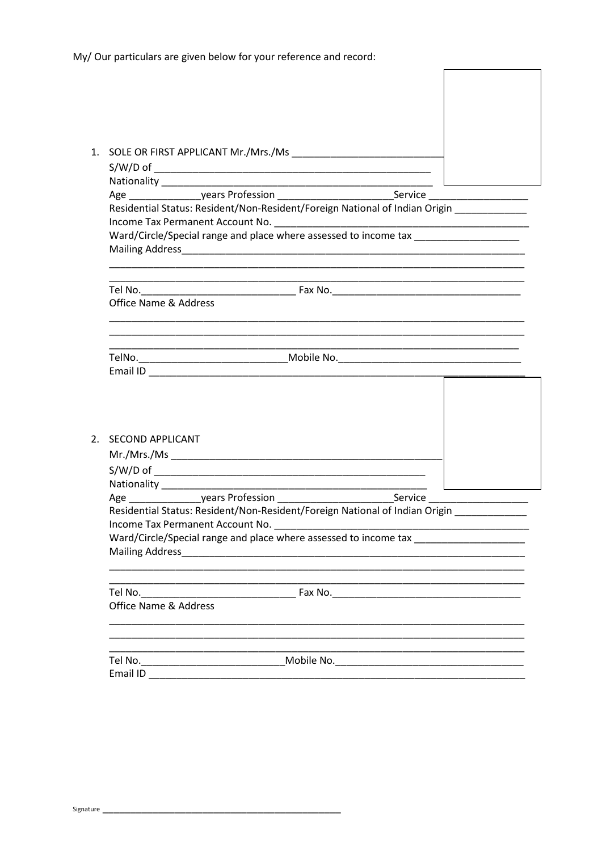|                                  | Age _____________________years Profession _______________________________Service ________________________                                                                                             |                                                                                                                      |
|----------------------------------|-------------------------------------------------------------------------------------------------------------------------------------------------------------------------------------------------------|----------------------------------------------------------------------------------------------------------------------|
|                                  | Residential Status: Resident/Non-Resident/Foreign National of Indian Origin ___________                                                                                                               |                                                                                                                      |
|                                  |                                                                                                                                                                                                       |                                                                                                                      |
|                                  | Ward/Circle/Special range and place where assessed to income tax ________________                                                                                                                     |                                                                                                                      |
|                                  | <u> 1989 - Andrea Santa Alemania, amerikana amerikana amerikana amerikana amerikana amerikana amerikana amerikan</u>                                                                                  |                                                                                                                      |
|                                  |                                                                                                                                                                                                       | <u> 1980 - Jan James James James James James James James James James James James James James James James James J</u> |
|                                  |                                                                                                                                                                                                       |                                                                                                                      |
| <b>Office Name &amp; Address</b> |                                                                                                                                                                                                       |                                                                                                                      |
|                                  |                                                                                                                                                                                                       |                                                                                                                      |
|                                  |                                                                                                                                                                                                       |                                                                                                                      |
|                                  | TelNo.___________________________________Mobile No._____________________________                                                                                                                      |                                                                                                                      |
|                                  |                                                                                                                                                                                                       |                                                                                                                      |
| 2. SECOND APPLICANT              |                                                                                                                                                                                                       |                                                                                                                      |
|                                  |                                                                                                                                                                                                       |                                                                                                                      |
|                                  |                                                                                                                                                                                                       |                                                                                                                      |
|                                  |                                                                                                                                                                                                       |                                                                                                                      |
|                                  |                                                                                                                                                                                                       |                                                                                                                      |
|                                  | Age _____________________years Profession _______________________________Service ________________________<br>Residential Status: Resident/Non-Resident/Foreign National of Indian Origin ____________ |                                                                                                                      |
|                                  |                                                                                                                                                                                                       |                                                                                                                      |
|                                  | Ward/Circle/Special range and place where assessed to income tax                                                                                                                                      |                                                                                                                      |
|                                  |                                                                                                                                                                                                       |                                                                                                                      |
|                                  |                                                                                                                                                                                                       |                                                                                                                      |
|                                  |                                                                                                                                                                                                       |                                                                                                                      |
| <b>Office Name &amp; Address</b> |                                                                                                                                                                                                       |                                                                                                                      |
|                                  | Tel No._________________________________Mobile No._______________________________                                                                                                                     |                                                                                                                      |

 $\overline{\phantom{a}}$ 

 $\overline{\phantom{a}}$ 

 $\overline{\phantom{a}}$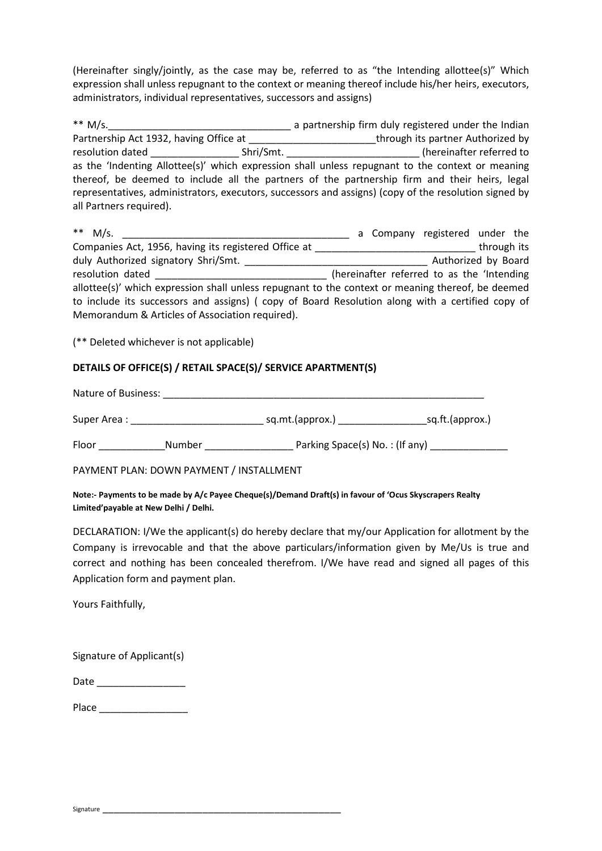(Hereinafter singly/jointly, as the case may be, referred to as "the Intending allottee(s)" Which expression shall unless repugnant to the context or meaning thereof include his/her heirs, executors, administrators, individual representatives, successors and assigns)

| ** M/s.                                |           | a partnership firm duly registered under the Indian                                                   |  |
|----------------------------------------|-----------|-------------------------------------------------------------------------------------------------------|--|
| Partnership Act 1932, having Office at |           | through its partner Authorized by                                                                     |  |
| resolution dated                       | Shri/Smt. | (hereinafter referred to                                                                              |  |
|                                        |           | as the 'Indenting Allottee(s)' which expression shall unless repugnant to the context or meaning      |  |
|                                        |           | thereof, be deemed to include all the partners of the partnership firm and their heirs, legal         |  |
|                                        |           | representatives, administrators, executors, successors and assigns) (copy of the resolution signed by |  |
| all Partners required).                |           |                                                                                                       |  |

| ** $M/s$ .                                                                                        | a Company registered under the             |
|---------------------------------------------------------------------------------------------------|--------------------------------------------|
| Companies Act, 1956, having its registered Office at                                              | through its                                |
| duly Authorized signatory Shri/Smt.                                                               | Authorized by Board                        |
| resolution dated                                                                                  | (hereinafter referred to as the 'Intending |
| allottee(s)' which expression shall unless repugnant to the context or meaning thereof, be deemed |                                            |
| to include its successors and assigns) (copy of Board Resolution along with a certified copy of   |                                            |
| Memorandum & Articles of Association required).                                                   |                                            |

(\*\* Deleted whichever is not applicable)

## **DETAILS OF OFFICE(S) / RETAIL SPACE(S)/ SERVICE APARTMENT(S)**

Nature of Business: \_\_\_\_\_\_\_\_\_\_\_\_\_\_\_\_\_\_\_\_\_\_\_\_\_\_\_\_\_\_\_\_\_\_\_\_\_\_\_\_\_\_\_\_\_\_\_\_\_\_\_\_\_\_\_\_\_\_

| Super Area: | sq.mt.(approx.) | sq.ft.(approx.) |
|-------------|-----------------|-----------------|
|             |                 |                 |

Floor \_\_\_\_\_\_\_\_\_\_\_\_Number \_\_\_\_\_\_\_\_\_\_\_\_\_\_\_\_ Parking Space(s) No. : (If any) \_\_\_\_\_\_\_\_\_\_\_\_\_\_

PAYMENT PLAN: DOWN PAYMENT / INSTALLMENT

**Note:- Payments to be made by A/c Payee Cheque(s)/Demand Draft(s) in favour of 'Ocus Skyscrapers Realty Limited'payable at New Delhi / Delhi.** 

DECLARATION: I/We the applicant(s) do hereby declare that my/our Application for allotment by the Company is irrevocable and that the above particulars/information given by Me/Us is true and correct and nothing has been concealed therefrom. I/We have read and signed all pages of this Application form and payment plan.

Yours Faithfully,

| Signature of Applicant(s) |  |  |
|---------------------------|--|--|
|                           |  |  |

| Date |  |
|------|--|
|------|--|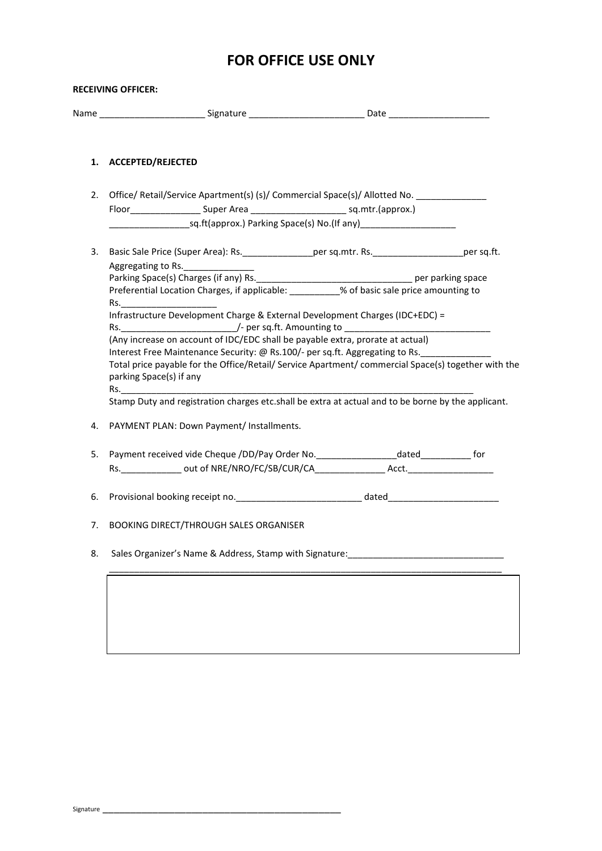## **FOR OFFICE USE ONLY**

| 1. | <b>ACCEPTED/REJECTED</b>                                                                              |  |
|----|-------------------------------------------------------------------------------------------------------|--|
| 2. | Office/ Retail/Service Apartment(s) (s)/ Commercial Space(s)/ Allotted No. ____________               |  |
|    |                                                                                                       |  |
|    |                                                                                                       |  |
| 3. | Basic Sale Price (Super Area): Rs. _________________per sq.mtr. Rs. _______________________per sq.ft. |  |
|    | Aggregating to Rs.                                                                                    |  |
|    |                                                                                                       |  |
|    | Infrastructure Development Charge & External Development Charges (IDC+EDC) =                          |  |
|    |                                                                                                       |  |
|    | (Any increase on account of IDC/EDC shall be payable extra, prorate at actual)                        |  |
|    | Interest Free Maintenance Security: @ Rs.100/- per sq.ft. Aggregating to Rs.                          |  |
|    | Total price payable for the Office/Retail/ Service Apartment/ commercial Space(s) together with the   |  |
|    | parking Space(s) if any                                                                               |  |
|    |                                                                                                       |  |
|    | Stamp Duty and registration charges etc.shall be extra at actual and to be borne by the applicant.    |  |
| 4. | PAYMENT PLAN: Down Payment/ Installments.                                                             |  |
| 5. | Payment received vide Cheque /DD/Pay Order No.____________________dated______________ for             |  |
|    |                                                                                                       |  |
| 6. |                                                                                                       |  |
|    | <b>BOOKING DIRECT/THROUGH SALES ORGANISER</b>                                                         |  |
| 7. |                                                                                                       |  |
| 8. | Sales Organizer's Name & Address, Stamp with Signature:                                               |  |
|    |                                                                                                       |  |
|    |                                                                                                       |  |
|    |                                                                                                       |  |
|    |                                                                                                       |  |
|    |                                                                                                       |  |
|    |                                                                                                       |  |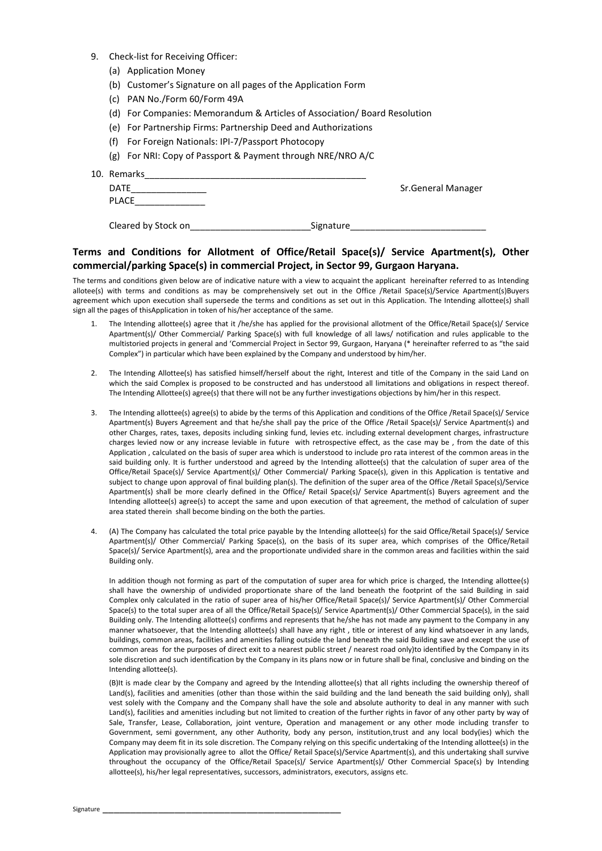- 9. Check-list for Receiving Officer:
	- (a) Application Money
	- (b) Customer's Signature on all pages of the Application Form
	- (c) PAN No./Form 60/Form 49A
	- (d) For Companies: Memorandum & Articles of Association/ Board Resolution
	- (e) For Partnership Firms: Partnership Deed and Authorizations
	- (f) For Foreign Nationals: IPI-7/Passport Photocopy
	- (g) For NRI: Copy of Passport & Payment through NRE/NRO A/C
- 10. Remarks\_\_\_\_\_\_\_\_\_\_\_\_\_\_\_\_\_\_\_\_\_\_\_\_\_\_\_\_\_\_\_\_\_\_\_\_\_\_\_\_\_\_\_\_

| ,,,,,,,,,,,,<br>DATF<br><b>PLACE</b> |           | Sr.General Manager |
|--------------------------------------|-----------|--------------------|
| Cleared by Stock on                  | Signature |                    |

## **Terms and Conditions for Allotment of Office/Retail Space(s)/ Service Apartment(s), Other commercial/parking Space(s) in commercial Project, in Sector 99, Gurgaon Haryana.**

The terms and conditions given below are of indicative nature with a view to acquaint the applicant hereinafter referred to as Intending allotee(s) with terms and conditions as may be comprehensively set out in the Office /Retail Space(s)/Service Apartment(s)Buyers agreement which upon execution shall supersede the terms and conditions as set out in this Application. The Intending allottee(s) shall sign all the pages of thisApplication in token of his/her acceptance of the same.

- 1. The Intending allottee(s) agree that it /he/she has applied for the provisional allotment of the Office/Retail Space(s)/ Service Apartment(s)/ Other Commercial/ Parking Space(s) with full knowledge of all laws/ notification and rules applicable to the multistoried projects in general and 'Commercial Project in Sector 99, Gurgaon, Haryana (\* hereinafter referred to as "the said Complex") in particular which have been explained by the Company and understood by him/her.
- 2. The Intending Allottee(s) has satisfied himself/herself about the right, Interest and title of the Company in the said Land on which the said Complex is proposed to be constructed and has understood all limitations and obligations in respect thereof. The Intending Allottee(s) agree(s) that there will not be any further investigations objections by him/her in this respect.
- 3. The Intending allottee(s) agree(s) to abide by the terms of this Application and conditions of the Office /Retail Space(s)/ Service Apartment(s) Buyers Agreement and that he/she shall pay the price of the Office /Retail Space(s)/ Service Apartment(s) and other Charges, rates, taxes, deposits including sinking fund, levies etc. including external development charges, infrastructure charges levied now or any increase leviable in future with retrospective effect, as the case may be , from the date of this Application , calculated on the basis of super area which is understood to include pro rata interest of the common areas in the said building only. It is further understood and agreed by the Intending allottee(s) that the calculation of super area of the Office/Retail Space(s)/ Service Apartment(s)/ Other Commercial/ Parking Space(s), given in this Application is tentative and subject to change upon approval of final building plan(s). The definition of the super area of the Office /Retail Space(s)/Service Apartment(s) shall be more clearly defined in the Office/ Retail Space(s)/ Service Apartment(s) Buyers agreement and the Intending allottee(s) agree(s) to accept the same and upon execution of that agreement, the method of calculation of super area stated therein shall become binding on the both the parties.
- 4. (A) The Company has calculated the total price payable by the Intending allottee(s) for the said Office/Retail Space(s)/ Service Apartment(s)/ Other Commercial/ Parking Space(s), on the basis of its super area, which comprises of the Office/Retail Space(s)/ Service Apartment(s), area and the proportionate undivided share in the common areas and facilities within the said Building only.

In addition though not forming as part of the computation of super area for which price is charged, the Intending allottee(s) shall have the ownership of undivided proportionate share of the land beneath the footprint of the said Building in said Complex only calculated in the ratio of super area of his/her Office/Retail Space(s)/ Service Apartment(s)/ Other Commercial Space(s) to the total super area of all the Office/Retail Space(s)/ Service Apartment(s)/ Other Commercial Space(s), in the said Building only. The Intending allottee(s) confirms and represents that he/she has not made any payment to the Company in any manner whatsoever, that the Intending allottee(s) shall have any right , title or interest of any kind whatsoever in any lands, buildings, common areas, facilities and amenities falling outside the land beneath the said Building save and except the use of common areas for the purposes of direct exit to a nearest public street / nearest road only)to identified by the Company in its sole discretion and such identification by the Company in its plans now or in future shall be final, conclusive and binding on the Intending allottee(s).

(B)It is made clear by the Company and agreed by the Intending allottee(s) that all rights including the ownership thereof of Land(s), facilities and amenities (other than those within the said building and the land beneath the said building only), shall vest solely with the Company and the Company shall have the sole and absolute authority to deal in any manner with such Land(s), facilities and amenities including but not limited to creation of the further rights in favor of any other party by way of Sale, Transfer, Lease, Collaboration, joint venture, Operation and management or any other mode including transfer to Government, semi government, any other Authority, body any person, institution,trust and any local body(ies) which the Company may deem fit in its sole discretion. The Company relying on this specific undertaking of the Intending allottee(s) in the Application may provisionally agree to allot the Office/ Retail Space(s)/Service Apartment(s), and this undertaking shall survive throughout the occupancy of the Office/Retail Space(s)/ Service Apartment(s)/ Other Commercial Space(s) by Intending allottee(s), his/her legal representatives, successors, administrators, executors, assigns etc.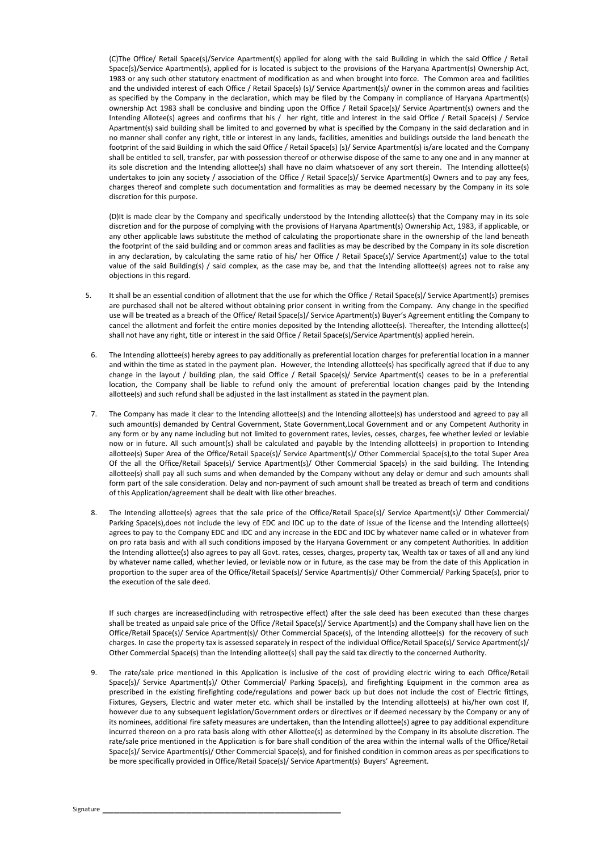(C)The Office/ Retail Space(s)/Service Apartment(s) applied for along with the said Building in which the said Office / Retail Space(s)/Service Apartment(s), applied for is located is subject to the provisions of the Haryana Apartment(s) Ownership Act, 1983 or any such other statutory enactment of modification as and when brought into force. The Common area and facilities and the undivided interest of each Office / Retail Space(s) (s)/ Service Apartment(s)/ owner in the common areas and facilities as specified by the Company in the declaration, which may be filed by the Company in compliance of Haryana Apartment(s) ownership Act 1983 shall be conclusive and binding upon the Office / Retail Space(s)/ Service Apartment(s) owners and the Intending Allotee(s) agrees and confirms that his / her right, title and interest in the said Office / Retail Space(s) / Service Apartment(s) said building shall be limited to and governed by what is specified by the Company in the said declaration and in no manner shall confer any right, title or interest in any lands, facilities, amenities and buildings outside the land beneath the footprint of the said Building in which the said Office / Retail Space(s) (s)/ Service Apartment(s) is/are located and the Company shall be entitled to sell, transfer, par with possession thereof or otherwise dispose of the same to any one and in any manner at its sole discretion and the Intending allottee(s) shall have no claim whatsoever of any sort therein. The Intending allottee(s) undertakes to join any society / association of the Office / Retail Space(s)/ Service Apartment(s) Owners and to pay any fees, charges thereof and complete such documentation and formalities as may be deemed necessary by the Company in its sole discretion for this purpose.

(D)It is made clear by the Company and specifically understood by the Intending allottee(s) that the Company may in its sole discretion and for the purpose of complying with the provisions of Haryana Apartment(s) Ownership Act, 1983, if applicable, or any other applicable laws substitute the method of calculating the proportionate share in the ownership of the land beneath the footprint of the said building and or common areas and facilities as may be described by the Company in its sole discretion in any declaration, by calculating the same ratio of his/ her Office / Retail Space(s)/ Service Apartment(s) value to the total value of the said Building(s) / said complex, as the case may be, and that the Intending allottee(s) agrees not to raise any objections in this regard.

- 5. It shall be an essential condition of allotment that the use for which the Office / Retail Space(s)/ Service Apartment(s) premises are purchased shall not be altered without obtaining prior consent in writing from the Company. Any change in the specified use will be treated as a breach of the Office/ Retail Space(s)/ Service Apartment(s) Buyer's Agreement entitling the Company to cancel the allotment and forfeit the entire monies deposited by the Intending allottee(s). Thereafter, the Intending allottee(s) shall not have any right, title or interest in the said Office / Retail Space(s)/Service Apartment(s) applied herein.
- 6. The Intending allottee(s) hereby agrees to pay additionally as preferential location charges for preferential location in a manner and within the time as stated in the payment plan. However, the Intending allottee(s) has specifically agreed that if due to any change in the layout / building plan, the said Office / Retail Space(s)/ Service Apartment(s) ceases to be in a preferential location, the Company shall be liable to refund only the amount of preferential location changes paid by the Intending allottee(s) and such refund shall be adjusted in the last installment as stated in the payment plan.
- 7. The Company has made it clear to the Intending allottee(s) and the Intending allottee(s) has understood and agreed to pay all such amount(s) demanded by Central Government, State Government,Local Government and or any Competent Authority in any form or by any name including but not limited to government rates, levies, cesses, charges, fee whether levied or leviable now or in future. All such amount(s) shall be calculated and payable by the Intending allottee(s) in proportion to Intending allottee(s) Super Area of the Office/Retail Space(s)/ Service Apartment(s)/ Other Commercial Space(s),to the total Super Area Of the all the Office/Retail Space(s)/ Service Apartment(s)/ Other Commercial Space(s) in the said building. The Intending allottee(s) shall pay all such sums and when demanded by the Company without any delay or demur and such amounts shall form part of the sale consideration. Delay and non-payment of such amount shall be treated as breach of term and conditions of this Application/agreement shall be dealt with like other breaches.
- 8. The Intending allottee(s) agrees that the sale price of the Office/Retail Space(s)/ Service Apartment(s)/ Other Commercial/ Parking Space(s),does not include the levy of EDC and IDC up to the date of issue of the license and the Intending allottee(s) agrees to pay to the Company EDC and IDC and any increase in the EDC and IDC by whatever name called or in whatever from on pro rata basis and with all such conditions imposed by the Haryana Government or any competent Authorities. In addition the Intending allottee(s) also agrees to pay all Govt. rates, cesses, charges, property tax, Wealth tax or taxes of all and any kind by whatever name called, whether levied, or leviable now or in future, as the case may be from the date of this Application in proportion to the super area of the Office/Retail Space(s)/ Service Apartment(s)/ Other Commercial/ Parking Space(s), prior to the execution of the sale deed.

If such charges are increased(including with retrospective effect) after the sale deed has been executed than these charges shall be treated as unpaid sale price of the Office /Retail Space(s)/ Service Apartment(s) and the Company shall have lien on the Office/Retail Space(s)/ Service Apartment(s)/ Other Commercial Space(s), of the Intending allottee(s) for the recovery of such charges. In case the property tax is assessed separately in respect of the individual Office/Retail Space(s)/ Service Apartment(s)/ Other Commercial Space(s) than the Intending allottee(s) shall pay the said tax directly to the concerned Authority.

9. The rate/sale price mentioned in this Application is inclusive of the cost of providing electric wiring to each Office/Retail Space(s)/ Service Apartment(s)/ Other Commercial/ Parking Space(s), and firefighting Equipment in the common area as prescribed in the existing firefighting code/regulations and power back up but does not include the cost of Electric fittings, Fixtures, Geysers, Electric and water meter etc. which shall be installed by the Intending allottee(s) at his/her own cost If, however due to any subsequent legislation/Government orders or directives or if deemed necessary by the Company or any of its nominees, additional fire safety measures are undertaken, than the Intending allottee(s) agree to pay additional expenditure incurred thereon on a pro rata basis along with other Allottee(s) as determined by the Company in its absolute discretion. The rate/sale price mentioned in the Application is for bare shall condition of the area within the internal walls of the Office/Retail Space(s)/ Service Apartment(s)/ Other Commercial Space(s), and for finished condition in common areas as per specifications to be more specifically provided in Office/Retail Space(s)/ Service Apartment(s) Buyers' Agreement.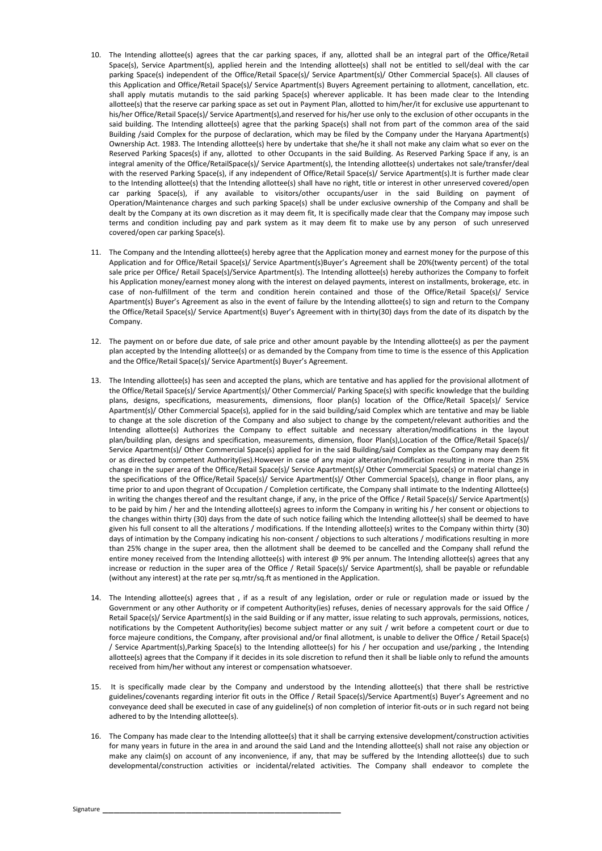- 10. The Intending allottee(s) agrees that the car parking spaces, if any, allotted shall be an integral part of the Office/Retail Space(s), Service Apartment(s), applied herein and the Intending allottee(s) shall not be entitled to sell/deal with the car parking Space(s) independent of the Office/Retail Space(s)/ Service Apartment(s)/ Other Commercial Space(s). All clauses of this Application and Office/Retail Space(s)/ Service Apartment(s) Buyers Agreement pertaining to allotment, cancellation, etc. shall apply mutatis mutandis to the said parking Space(s) wherever applicable. It has been made clear to the Intending allottee(s) that the reserve car parking space as set out in Payment Plan, allotted to him/her/it for exclusive use appurtenant to his/her Office/Retail Space(s)/ Service Apartment(s),and reserved for his/her use only to the exclusion of other occupants in the said building. The Intending allottee(s) agree that the parking Space(s) shall not from part of the common area of the said Building /said Complex for the purpose of declaration, which may be filed by the Company under the Haryana Apartment(s) Ownership Act. 1983. The Intending allottee(s) here by undertake that she/he it shall not make any claim what so ever on the Reserved Parking Spaces(s) if any, allotted to other Occupants in the said Building. As Reserved Parking Space if any, is an integral amenity of the Office/RetailSpace(s)/ Service Apartment(s), the Intending allottee(s) undertakes not sale/transfer/deal with the reserved Parking Space(s), if any independent of Office/Retail Space(s)/ Service Apartment(s).It is further made clear to the Intending allottee(s) that the Intending allottee(s) shall have no right, title or interest in other unreserved covered/open car parking Space(s), if any available to visitors/other occupants/user in the said Building on payment of Operation/Maintenance charges and such parking Space(s) shall be under exclusive ownership of the Company and shall be dealt by the Company at its own discretion as it may deem fit, It is specifically made clear that the Company may impose such terms and condition including pay and park system as it may deem fit to make use by any person of such unreserved covered/open car parking Space(s).
- 11. The Company and the Intending allottee(s) hereby agree that the Application money and earnest money for the purpose of this Application and for Office/Retail Space(s)/ Service Apartment(s)Buyer's Agreement shall be 20%(twenty percent) of the total sale price per Office/ Retail Space(s)/Service Apartment(s). The Intending allottee(s) hereby authorizes the Company to forfeit his Application money/earnest money along with the interest on delayed payments, interest on installments, brokerage, etc. in case of non-fulfillment of the term and condition herein contained and those of the Office/Retail Space(s)/ Service Apartment(s) Buyer's Agreement as also in the event of failure by the Intending allottee(s) to sign and return to the Company the Office/Retail Space(s)/ Service Apartment(s) Buyer's Agreement with in thirty(30) days from the date of its dispatch by the Company.
- 12. The payment on or before due date, of sale price and other amount payable by the Intending allottee(s) as per the payment plan accepted by the Intending allottee(s) or as demanded by the Company from time to time is the essence of this Application and the Office/Retail Space(s)/ Service Apartment(s) Buyer's Agreement.
- 13. The Intending allottee(s) has seen and accepted the plans, which are tentative and has applied for the provisional allotment of the Office/Retail Space(s)/ Service Apartment(s)/ Other Commercial/ Parking Space(s) with specific knowledge that the building plans, designs, specifications, measurements, dimensions, floor plan(s) location of the Office/Retail Space(s)/ Service Apartment(s)/ Other Commercial Space(s), applied for in the said building/said Complex which are tentative and may be liable to change at the sole discretion of the Company and also subject to change by the competent/relevant authorities and the Intending allottee(s) Authorizes the Company to effect suitable and necessary alteration/modifications in the layout plan/building plan, designs and specification, measurements, dimension, floor Plan(s),Location of the Office/Retail Space(s)/ Service Apartment(s)/ Other Commercial Space(s) applied for in the said Building/said Complex as the Company may deem fit or as directed by competent Authority(ies).However in case of any major alteration/modification resulting in more than 25% change in the super area of the Office/Retail Space(s)/ Service Apartment(s)/ Other Commercial Space(s) or material change in the specifications of the Office/Retail Space(s)/ Service Apartment(s)/ Other Commercial Space(s), change in floor plans, any time prior to and upon thegrant of Occupation / Completion certificate, the Company shall intimate to the Indenting Allottee(s) in writing the changes thereof and the resultant change, if any, in the price of the Office / Retail Space(s)/ Service Apartment(s) to be paid by him / her and the Intending allottee(s) agrees to inform the Company in writing his / her consent or objections to the changes within thirty (30) days from the date of such notice failing which the Intending allottee(s) shall be deemed to have given his full consent to all the alterations / modifications. If the Intending allottee(s) writes to the Company within thirty (30) days of intimation by the Company indicating his non-consent / objections to such alterations / modifications resulting in more than 25% change in the super area, then the allotment shall be deemed to be cancelled and the Company shall refund the entire money received from the Intending allottee(s) with interest @ 9% per annum. The Intending allottee(s) agrees that any increase or reduction in the super area of the Office / Retail Space(s)/ Service Apartment(s), shall be payable or refundable (without any interest) at the rate per sq.mtr/sq.ft as mentioned in the Application.
- 14. The Intending allottee(s) agrees that , if as a result of any legislation, order or rule or regulation made or issued by the Government or any other Authority or if competent Authority(ies) refuses, denies of necessary approvals for the said Office / Retail Space(s)/ Service Apartment(s) in the said Building or if any matter, issue relating to such approvals, permissions, notices, notifications by the Competent Authority(ies) become subject matter or any suit / writ before a competent court or due to force majeure conditions, the Company, after provisional and/or final allotment, is unable to deliver the Office / Retail Space(s) / Service Apartment(s),Parking Space(s) to the Intending allottee(s) for his / her occupation and use/parking , the Intending allottee(s) agrees that the Company if it decides in its sole discretion to refund then it shall be liable only to refund the amounts received from him/her without any interest or compensation whatsoever.
- 15. It is specifically made clear by the Company and understood by the Intending allottee(s) that there shall be restrictive guidelines/covenants regarding interior fit outs in the Office / Retail Space(s)/Service Apartment(s) Buyer's Agreement and no conveyance deed shall be executed in case of any guideline(s) of non completion of interior fit-outs or in such regard not being adhered to by the Intending allottee(s).
- 16. The Company has made clear to the Intending allottee(s) that it shall be carrying extensive development/construction activities for many years in future in the area in and around the said Land and the Intending allottee(s) shall not raise any objection or make any claim(s) on account of any inconvenience, if any, that may be suffered by the Intending allottee(s) due to such developmental/construction activities or incidental/related activities. The Company shall endeavor to complete the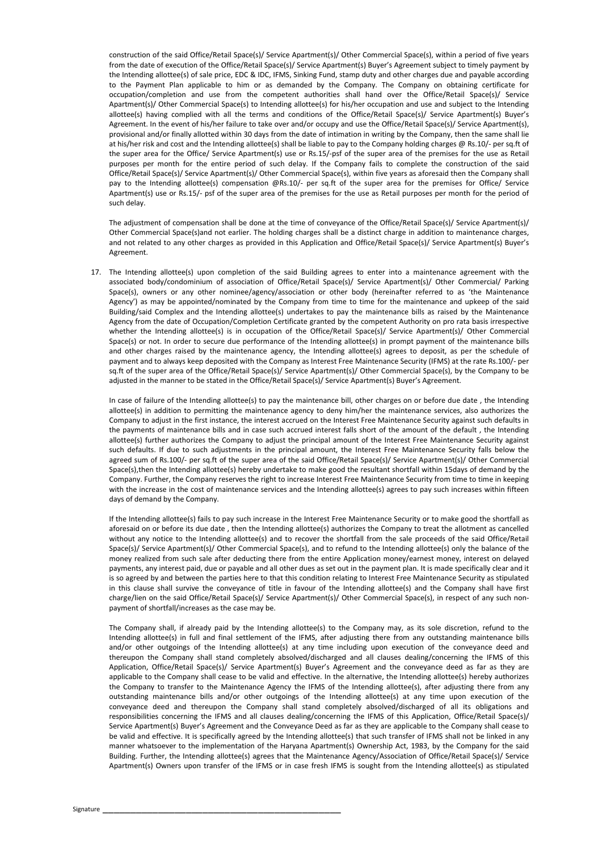construction of the said Office/Retail Space(s)/ Service Apartment(s)/ Other Commercial Space(s), within a period of five years from the date of execution of the Office/Retail Space(s)/ Service Apartment(s) Buyer's Agreement subject to timely payment by the Intending allottee(s) of sale price, EDC & IDC, IFMS, Sinking Fund, stamp duty and other charges due and payable according to the Payment Plan applicable to him or as demanded by the Company. The Company on obtaining certificate for occupation/completion and use from the competent authorities shall hand over the Office/Retail Space(s)/ Service Apartment(s)/ Other Commercial Space(s) to Intending allottee(s) for his/her occupation and use and subject to the Intending allottee(s) having complied with all the terms and conditions of the Office/Retail Space(s)/ Service Apartment(s) Buyer's Agreement. In the event of his/her failure to take over and/or occupy and use the Office/Retail Space(s)/ Service Apartment(s), provisional and/or finally allotted within 30 days from the date of intimation in writing by the Company, then the same shall lie at his/her risk and cost and the Intending allottee(s) shall be liable to pay to the Company holding charges @ Rs.10/- per sq.ft of the super area for the Office/ Service Apartment(s) use or Rs.15/-psf of the super area of the premises for the use as Retail purposes per month for the entire period of such delay. If the Company fails to complete the construction of the said Office/Retail Space(s)/ Service Apartment(s)/ Other Commercial Space(s), within five years as aforesaid then the Company shall pay to the Intending allottee(s) compensation @Rs.10/- per sq.ft of the super area for the premises for Office/ Service Apartment(s) use or Rs.15/- psf of the super area of the premises for the use as Retail purposes per month for the period of such delay.

The adjustment of compensation shall be done at the time of conveyance of the Office/Retail Space(s)/ Service Apartment(s)/ Other Commercial Space(s)and not earlier. The holding charges shall be a distinct charge in addition to maintenance charges, and not related to any other charges as provided in this Application and Office/Retail Space(s)/ Service Apartment(s) Buyer's Agreement.

17. The Intending allottee(s) upon completion of the said Building agrees to enter into a maintenance agreement with the associated body/condominium of association of Office/Retail Space(s)/ Service Apartment(s)/ Other Commercial/ Parking Space(s), owners or any other nominee/agency/association or other body (hereinafter referred to as 'the Maintenance Agency') as may be appointed/nominated by the Company from time to time for the maintenance and upkeep of the said Building/said Complex and the Intending allottee(s) undertakes to pay the maintenance bills as raised by the Maintenance Agency from the date of Occupation/Completion Certificate granted by the competent Authority on pro rata basis irrespective whether the Intending allottee(s) is in occupation of the Office/Retail Space(s)/ Service Apartment(s)/ Other Commercial Space(s) or not. In order to secure due performance of the Intending allottee(s) in prompt payment of the maintenance bills and other charges raised by the maintenance agency, the Intending allottee(s) agrees to deposit, as per the schedule of payment and to always keep deposited with the Company as Interest Free Maintenance Security (IFMS) at the rate Rs.100/- per sq.ft of the super area of the Office/Retail Space(s)/ Service Apartment(s)/ Other Commercial Space(s), by the Company to be adjusted in the manner to be stated in the Office/Retail Space(s)/ Service Apartment(s) Buyer's Agreement.

In case of failure of the Intending allottee(s) to pay the maintenance bill, other charges on or before due date , the Intending allottee(s) in addition to permitting the maintenance agency to deny him/her the maintenance services, also authorizes the Company to adjust in the first instance, the interest accrued on the Interest Free Maintenance Security against such defaults in the payments of maintenance bills and in case such accrued interest falls short of the amount of the default , the Intending allottee(s) further authorizes the Company to adjust the principal amount of the Interest Free Maintenance Security against such defaults. If due to such adjustments in the principal amount, the Interest Free Maintenance Security falls below the agreed sum of Rs.100/- per sq.ft of the super area of the said Office/Retail Space(s)/ Service Apartment(s)/ Other Commercial Space(s),then the Intending allottee(s) hereby undertake to make good the resultant shortfall within 15days of demand by the Company. Further, the Company reserves the right to increase Interest Free Maintenance Security from time to time in keeping with the increase in the cost of maintenance services and the Intending allottee(s) agrees to pay such increases within fifteen days of demand by the Company.

If the Intending allottee(s) fails to pay such increase in the Interest Free Maintenance Security or to make good the shortfall as aforesaid on or before its due date , then the Intending allottee(s) authorizes the Company to treat the allotment as cancelled without any notice to the Intending allottee(s) and to recover the shortfall from the sale proceeds of the said Office/Retail Space(s)/ Service Apartment(s)/ Other Commercial Space(s), and to refund to the Intending allottee(s) only the balance of the money realized from such sale after deducting there from the entire Application money/earnest money, interest on delayed payments, any interest paid, due or payable and all other dues as set out in the payment plan. It is made specifically clear and it is so agreed by and between the parties here to that this condition relating to Interest Free Maintenance Security as stipulated in this clause shall survive the conveyance of title in favour of the Intending allottee(s) and the Company shall have first charge/lien on the said Office/Retail Space(s)/ Service Apartment(s)/ Other Commercial Space(s), in respect of any such nonpayment of shortfall/increases as the case may be.

The Company shall, if already paid by the Intending allottee(s) to the Company may, as its sole discretion, refund to the Intending allottee(s) in full and final settlement of the IFMS, after adjusting there from any outstanding maintenance bills and/or other outgoings of the Intending allottee(s) at any time including upon execution of the conveyance deed and thereupon the Company shall stand completely absolved/discharged and all clauses dealing/concerning the IFMS of this Application, Office/Retail Space(s)/ Service Apartment(s) Buyer's Agreement and the conveyance deed as far as they are applicable to the Company shall cease to be valid and effective. In the alternative, the Intending allottee(s) hereby authorizes the Company to transfer to the Maintenance Agency the IFMS of the Intending allottee(s), after adjusting there from any outstanding maintenance bills and/or other outgoings of the Intending allottee(s) at any time upon execution of the conveyance deed and thereupon the Company shall stand completely absolved/discharged of all its obligations and responsibilities concerning the IFMS and all clauses dealing/concerning the IFMS of this Application, Office/Retail Space(s)/ Service Apartment(s) Buyer's Agreement and the Conveyance Deed as far as they are applicable to the Company shall cease to be valid and effective. It is specifically agreed by the Intending allottee(s) that such transfer of IFMS shall not be linked in any manner whatsoever to the implementation of the Haryana Apartment(s) Ownership Act, 1983, by the Company for the said Building. Further, the Intending allottee(s) agrees that the Maintenance Agency/Association of Office/Retail Space(s)/ Service Apartment(s) Owners upon transfer of the IFMS or in case fresh IFMS is sought from the Intending allottee(s) as stipulated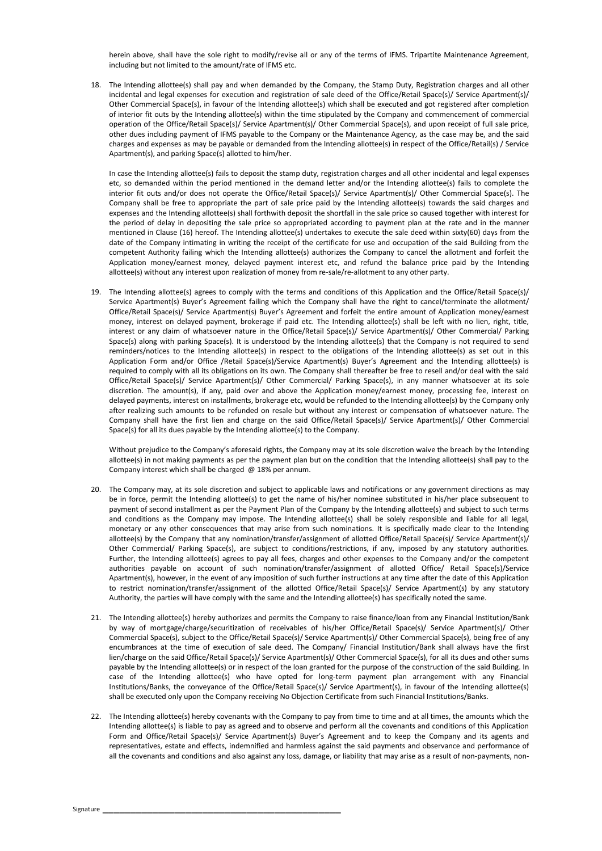herein above, shall have the sole right to modify/revise all or any of the terms of IFMS. Tripartite Maintenance Agreement, including but not limited to the amount/rate of IFMS etc.

18. The Intending allottee(s) shall pay and when demanded by the Company, the Stamp Duty, Registration charges and all other incidental and legal expenses for execution and registration of sale deed of the Office/Retail Space(s)/ Service Apartment(s)/ Other Commercial Space(s), in favour of the Intending allottee(s) which shall be executed and got registered after completion of interior fit outs by the Intending allottee(s) within the time stipulated by the Company and commencement of commercial operation of the Office/Retail Space(s)/ Service Apartment(s)/ Other Commercial Space(s), and upon receipt of full sale price, other dues including payment of IFMS payable to the Company or the Maintenance Agency, as the case may be, and the said charges and expenses as may be payable or demanded from the Intending allottee(s) in respect of the Office/Retail(s) / Service Apartment(s), and parking Space(s) allotted to him/her.

In case the Intending allottee(s) fails to deposit the stamp duty, registration charges and all other incidental and legal expenses etc, so demanded within the period mentioned in the demand letter and/or the Intending allottee(s) fails to complete the interior fit outs and/or does not operate the Office/Retail Space(s)/ Service Apartment(s)/ Other Commercial Space(s). The Company shall be free to appropriate the part of sale price paid by the Intending allottee(s) towards the said charges and expenses and the Intending allottee(s) shall forthwith deposit the shortfall in the sale price so caused together with interest for the period of delay in depositing the sale price so appropriated according to payment plan at the rate and in the manner mentioned in Clause (16) hereof. The Intending allottee(s) undertakes to execute the sale deed within sixty(60) days from the date of the Company intimating in writing the receipt of the certificate for use and occupation of the said Building from the competent Authority failing which the Intending allottee(s) authorizes the Company to cancel the allotment and forfeit the Application money/earnest money, delayed payment interest etc, and refund the balance price paid by the Intending allottee(s) without any interest upon realization of money from re-sale/re-allotment to any other party.

19. The Intending allottee(s) agrees to comply with the terms and conditions of this Application and the Office/Retail Space(s)/ Service Apartment(s) Buyer's Agreement failing which the Company shall have the right to cancel/terminate the allotment/ Office/Retail Space(s)/ Service Apartment(s) Buyer's Agreement and forfeit the entire amount of Application money/earnest money, interest on delayed payment, brokerage if paid etc. The Intending allottee(s) shall be left with no lien, right, title, interest or any claim of whatsoever nature in the Office/Retail Space(s)/ Service Apartment(s)/ Other Commercial/ Parking Space(s) along with parking Space(s). It is understood by the Intending allottee(s) that the Company is not required to send reminders/notices to the Intending allottee(s) in respect to the obligations of the Intending allottee(s) as set out in this Application Form and/or Office /Retail Space(s)/Service Apartment(s) Buyer's Agreement and the Intending allottee(s) is required to comply with all its obligations on its own. The Company shall thereafter be free to resell and/or deal with the said Office/Retail Space(s)/ Service Apartment(s)/ Other Commercial/ Parking Space(s), in any manner whatsoever at its sole discretion. The amount(s), if any, paid over and above the Application money/earnest money, processing fee, interest on delayed payments, interest on installments, brokerage etc, would be refunded to the Intending allottee(s) by the Company only after realizing such amounts to be refunded on resale but without any interest or compensation of whatsoever nature. The Company shall have the first lien and charge on the said Office/Retail Space(s)/ Service Apartment(s)/ Other Commercial Space(s) for all its dues payable by the Intending allottee(s) to the Company.

Without prejudice to the Company's aforesaid rights, the Company may at its sole discretion waive the breach by the Intending allottee(s) in not making payments as per the payment plan but on the condition that the Intending allottee(s) shall pay to the Company interest which shall be charged @ 18% per annum.

- 20. The Company may, at its sole discretion and subject to applicable laws and notifications or any government directions as may be in force, permit the Intending allottee(s) to get the name of his/her nominee substituted in his/her place subsequent to payment of second installment as per the Payment Plan of the Company by the Intending allottee(s) and subject to such terms and conditions as the Company may impose. The Intending allottee(s) shall be solely responsible and liable for all legal, monetary or any other consequences that may arise from such nominations. It is specifically made clear to the Intending allottee(s) by the Company that any nomination/transfer/assignment of allotted Office/Retail Space(s)/ Service Apartment(s)/ Other Commercial/ Parking Space(s), are subject to conditions/restrictions, if any, imposed by any statutory authorities. Further, the Intending allottee(s) agrees to pay all fees, charges and other expenses to the Company and/or the competent authorities payable on account of such nomination/transfer/assignment of allotted Office/ Retail Space(s)/Service Apartment(s), however, in the event of any imposition of such further instructions at any time after the date of this Application to restrict nomination/transfer/assignment of the allotted Office/Retail Space(s)/ Service Apartment(s) by any statutory Authority, the parties will have comply with the same and the Intending allottee(s) has specifically noted the same.
- 21. The Intending allottee(s) hereby authorizes and permits the Company to raise finance/loan from any Financial Institution/Bank by way of mortgage/charge/securitization of receivables of his/her Office/Retail Space(s)/ Service Apartment(s)/ Other Commercial Space(s), subject to the Office/Retail Space(s)/ Service Apartment(s)/ Other Commercial Space(s), being free of any encumbrances at the time of execution of sale deed. The Company/ Financial Institution/Bank shall always have the first lien/charge on the said Office/Retail Space(s)/ Service Apartment(s)/ Other Commercial Space(s), for all its dues and other sums payable by the Intending allottee(s) or in respect of the loan granted for the purpose of the construction of the said Building. In case of the Intending allottee(s) who have opted for long-term payment plan arrangement with any Financial Institutions/Banks, the conveyance of the Office/Retail Space(s)/ Service Apartment(s), in favour of the Intending allottee(s) shall be executed only upon the Company receiving No Objection Certificate from such Financial Institutions/Banks.
- 22. The Intending allottee(s) hereby covenants with the Company to pay from time to time and at all times, the amounts which the Intending allottee(s) is liable to pay as agreed and to observe and perform all the covenants and conditions of this Application Form and Office/Retail Space(s)/ Service Apartment(s) Buyer's Agreement and to keep the Company and its agents and representatives, estate and effects, indemnified and harmless against the said payments and observance and performance of all the covenants and conditions and also against any loss, damage, or liability that may arise as a result of non-payments, non-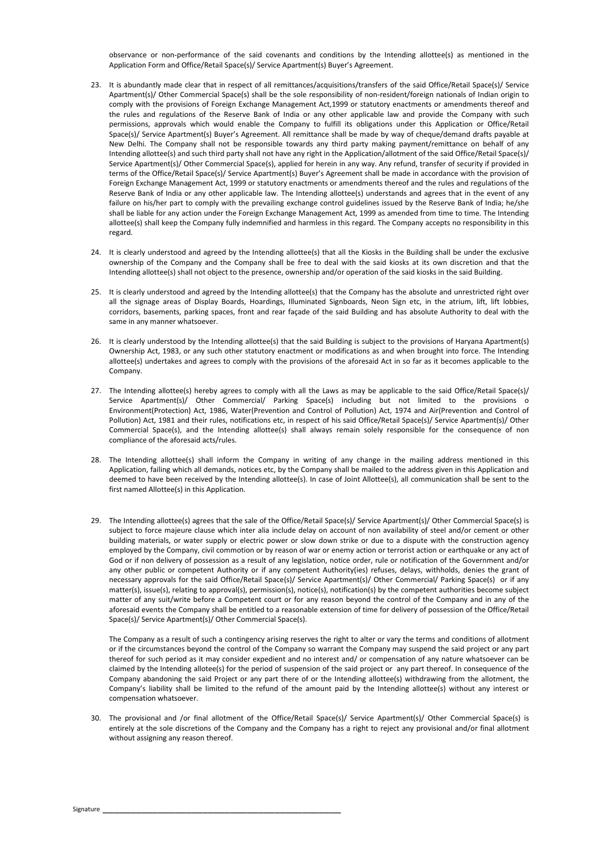observance or non-performance of the said covenants and conditions by the Intending allottee(s) as mentioned in the Application Form and Office/Retail Space(s)/ Service Apartment(s) Buyer's Agreement.

- 23. It is abundantly made clear that in respect of all remittances/acquisitions/transfers of the said Office/Retail Space(s)/ Service Apartment(s)/ Other Commercial Space(s) shall be the sole responsibility of non-resident/foreign nationals of Indian origin to comply with the provisions of Foreign Exchange Management Act,1999 or statutory enactments or amendments thereof and the rules and regulations of the Reserve Bank of India or any other applicable law and provide the Company with such permissions, approvals which would enable the Company to fulfill its obligations under this Application or Office/Retail Space(s)/ Service Apartment(s) Buyer's Agreement. All remittance shall be made by way of cheque/demand drafts payable at New Delhi. The Company shall not be responsible towards any third party making payment/remittance on behalf of any Intending allottee(s) and such third party shall not have any right in the Application/allotment of the said Office/Retail Space(s)/ Service Apartment(s)/ Other Commercial Space(s), applied for herein in any way. Any refund, transfer of security if provided in terms of the Office/Retail Space(s)/ Service Apartment(s) Buyer's Agreement shall be made in accordance with the provision of Foreign Exchange Management Act, 1999 or statutory enactments or amendments thereof and the rules and regulations of the Reserve Bank of India or any other applicable law. The Intending allottee(s) understands and agrees that in the event of any failure on his/her part to comply with the prevailing exchange control guidelines issued by the Reserve Bank of India; he/she shall be liable for any action under the Foreign Exchange Management Act, 1999 as amended from time to time. The Intending allottee(s) shall keep the Company fully indemnified and harmless in this regard. The Company accepts no responsibility in this regard.
- 24. It is clearly understood and agreed by the Intending allottee(s) that all the Kiosks in the Building shall be under the exclusive ownership of the Company and the Company shall be free to deal with the said kiosks at its own discretion and that the Intending allottee(s) shall not object to the presence, ownership and/or operation of the said kiosks in the said Building.
- 25. It is clearly understood and agreed by the Intending allottee(s) that the Company has the absolute and unrestricted right over all the signage areas of Display Boards, Hoardings, Illuminated Signboards, Neon Sign etc, in the atrium, lift, lift lobbies, corridors, basements, parking spaces, front and rear façade of the said Building and has absolute Authority to deal with the same in any manner whatsoever.
- 26. It is clearly understood by the Intending allottee(s) that the said Building is subject to the provisions of Haryana Apartment(s) Ownership Act, 1983, or any such other statutory enactment or modifications as and when brought into force. The Intending allottee(s) undertakes and agrees to comply with the provisions of the aforesaid Act in so far as it becomes applicable to the Company.
- 27. The Intending allottee(s) hereby agrees to comply with all the Laws as may be applicable to the said Office/Retail Space(s)/ Service Apartment(s)/ Other Commercial/ Parking Space(s) including but not limited to the provisions o Environment(Protection) Act, 1986, Water(Prevention and Control of Pollution) Act, 1974 and Air(Prevention and Control of Pollution) Act, 1981 and their rules, notifications etc, in respect of his said Office/Retail Space(s)/ Service Apartment(s)/ Other Commercial Space(s), and the Intending allottee(s) shall always remain solely responsible for the consequence of non compliance of the aforesaid acts/rules.
- 28. The Intending allottee(s) shall inform the Company in writing of any change in the mailing address mentioned in this Application, failing which all demands, notices etc, by the Company shall be mailed to the address given in this Application and deemed to have been received by the Intending allottee(s). In case of Joint Allottee(s), all communication shall be sent to the first named Allottee(s) in this Application.
- 29. The Intending allottee(s) agrees that the sale of the Office/Retail Space(s)/ Service Apartment(s)/ Other Commercial Space(s) is subject to force majeure clause which inter alia include delay on account of non availability of steel and/or cement or other building materials, or water supply or electric power or slow down strike or due to a dispute with the construction agency employed by the Company, civil commotion or by reason of war or enemy action or terrorist action or earthquake or any act of God or if non delivery of possession as a result of any legislation, notice order, rule or notification of the Government and/or any other public or competent Authority or if any competent Authority(ies) refuses, delays, withholds, denies the grant of necessary approvals for the said Office/Retail Space(s)/ Service Apartment(s)/ Other Commercial/ Parking Space(s) or if any matter(s), issue(s), relating to approval(s), permission(s), notice(s), notification(s) by the competent authorities become subject matter of any suit/write before a Competent court or for any reason beyond the control of the Company and in any of the aforesaid events the Company shall be entitled to a reasonable extension of time for delivery of possession of the Office/Retail Space(s)/ Service Apartment(s)/ Other Commercial Space(s).

The Company as a result of such a contingency arising reserves the right to alter or vary the terms and conditions of allotment or if the circumstances beyond the control of the Company so warrant the Company may suspend the said project or any part thereof for such period as it may consider expedient and no interest and/ or compensation of any nature whatsoever can be claimed by the Intending allotee(s) for the period of suspension of the said project or any part thereof. In consequence of the Company abandoning the said Project or any part there of or the Intending allottee(s) withdrawing from the allotment, the Company's liability shall be limited to the refund of the amount paid by the Intending allottee(s) without any interest or compensation whatsoever.

30. The provisional and /or final allotment of the Office/Retail Space(s)/ Service Apartment(s)/ Other Commercial Space(s) is entirely at the sole discretions of the Company and the Company has a right to reject any provisional and/or final allotment without assigning any reason thereof.